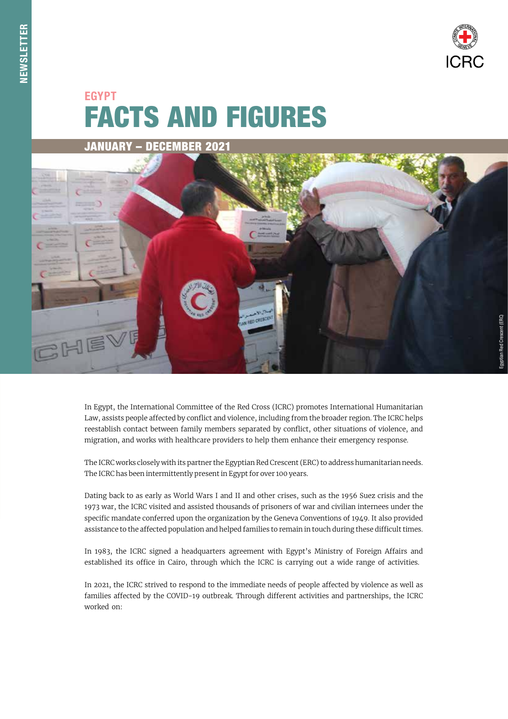

# FACTS AND FIGURES EGYPT





In Egypt, the International Committee of the Red Cross (ICRC) promotes International Humanitarian Law, assists people affected by conflict and violence, including from the broader region. The ICRC helps reestablish contact between family members separated by conflict, other situations of violence, and migration, and works with healthcare providers to help them enhance their emergency response.

The ICRC works closely with its partner the Egyptian Red Crescent (ERC) to address humanitarian needs. The ICRC has been intermittently present in Egypt for over 100 years.

Dating back to as early as World Wars I and II and other crises, such as the 1956 Suez crisis and the 1973 war, the ICRC visited and assisted thousands of prisoners of war and civilian internees under the specific mandate conferred upon the organization by the Geneva Conventions of 1949. It also provided assistance to the affected population and helped families to remain in touch during these difficult times.

In 1983, the ICRC signed a headquarters agreement with Egypt's Ministry of Foreign Affairs and established its office in Cairo, through which the ICRC is carrying out a wide range of activities.

In 2021, the ICRC strived to respond to the immediate needs of people affected by violence as well as families affected by the COVID-19 outbreak. Through different activities and partnerships, the ICRC worked on: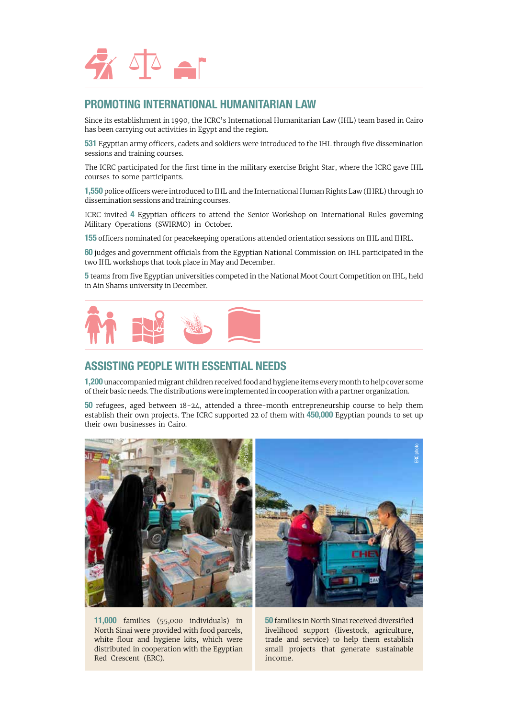

## PROMOTING INTERNATIONAL HUMANITARIAN LAW

Since its establishment in 1990, the ICRC's International Humanitarian Law (IHL) team based in Cairo has been carrying out activities in Egypt and the region.

531 Egyptian army officers, cadets and soldiers were introduced to the IHL through five dissemination sessions and training courses.

The ICRC participated for the first time in the military exercise Bright Star, where the ICRC gave IHL courses to some participants.

1,550 police officers were introduced to IHL and the International Human Rights Law (IHRL) through 10 dissemination sessions and training courses.

ICRC invited 4 Egyptian officers to attend the Senior Workshop on International Rules governing Military Operations (SWIRMO) in October.

155 officers nominated for peacekeeping operations attended orientation sessions on IHL and IHRL.

60 judges and government officials from the Egyptian National Commission on IHL participated in the two IHL workshops that took place in May and December.

5 teams from five Egyptian universities competed in the National Moot Court Competition on IHL, held in Ain Shams university in December.



### ASSISTING PEOPLE WITH ESSENTIAL NEEDS

1,200 unaccompanied migrant children received food and hygiene items every month to help cover some of their basic needs. The distributions were implemented in cooperation with a partner organization.

50 refugees, aged between 18-24, attended a three-month entrepreneurship course to help them establish their own projects. The ICRC supported 22 of them with 450,000 Egyptian pounds to set up their own businesses in Cairo.



11,000 families (55,000 individuals) in North Sinai were provided with food parcels, white flour and hygiene kits, which were distributed in cooperation with the Egyptian Red Crescent (ERC).

50 families in North Sinai received diversified livelihood support (livestock, agriculture, trade and service) to help them establish small projects that generate sustainable income.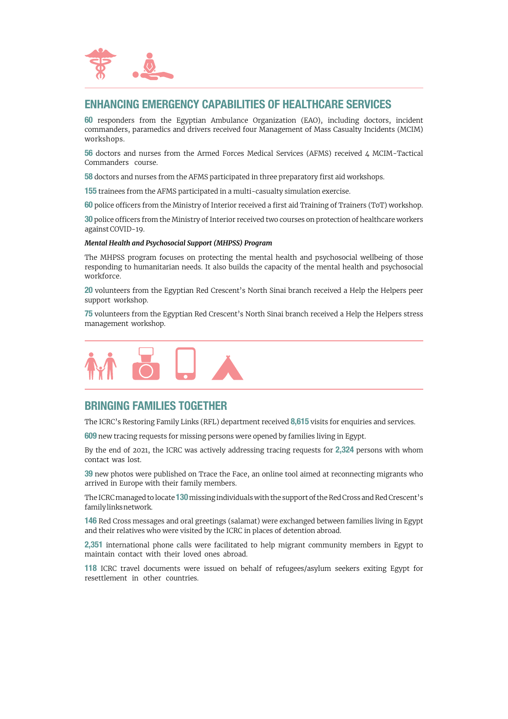

## ENHANCING EMERGENCY CAPABILITIES OF HEALTHCARE SERVICES

60 responders from the Egyptian Ambulance Organization (EAO), including doctors, incident commanders, paramedics and drivers received four Management of Mass Casualty Incidents (MCIM) workshops.

56 doctors and nurses from the Armed Forces Medical Services (AFMS) received 4 MCIM-Tactical Commanders course.

58 doctors and nurses from the AFMS participated in three preparatory first aid workshops.

155 trainees from the AFMS participated in a multi-casualty simulation exercise.

60 police officers from the Ministry of Interior received a first aid Training of Trainers (ToT) workshop.

30 police officers from the Ministry of Interior received two courses on protection of healthcare workers against COVID-19.

#### *Mental Health and Psychosocial Support (MHPSS) Program*

The MHPSS program focuses on protecting the mental health and psychosocial wellbeing of those responding to humanitarian needs. It also builds the capacity of the mental health and psychosocial workforce.

20 volunteers from the Egyptian Red Crescent's North Sinai branch received a Help the Helpers peer support workshop.

75 volunteers from the Egyptian Red Crescent's North Sinai branch received a Help the Helpers stress management workshop.



# BRINGING FAMILIES TOGETHER

The ICRC's Restoring Family Links (RFL) department received 8,615 visits for enquiries and services.

609 new tracing requests for missing persons were opened by families living in Egypt.

By the end of 2021, the ICRC was actively addressing tracing requests for 2,324 persons with whom contact was lost.

39 new photos were published on Trace the Face, an online tool aimed at reconnecting migrants who arrived in Europe with their family members.

The ICRC managed to locate 130 missing individuals with the support of the Red Cross and Red Crescent's family links network.

146 Red Cross messages and oral greetings (salamat) were exchanged between families living in Egypt and their relatives who were visited by the ICRC in places of detention abroad.

2,351 international phone calls were facilitated to help migrant community members in Egypt to maintain contact with their loved ones abroad.

118 ICRC travel documents were issued on behalf of refugees/asylum seekers exiting Egypt for resettlement in other countries.